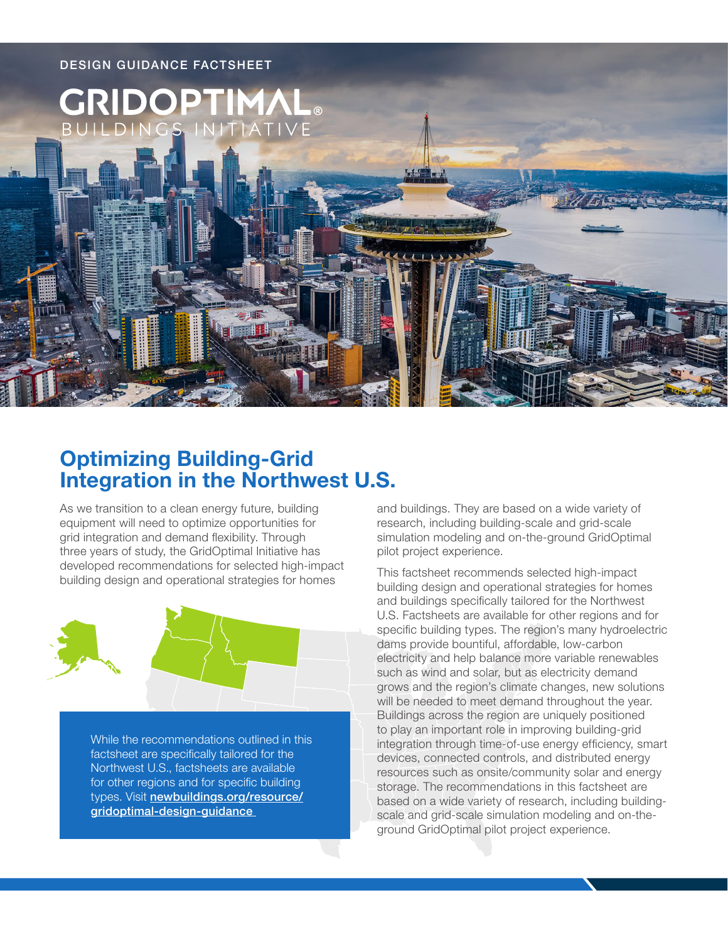

# **Optimizing Building-Grid Integration in the Northwest U.S.**

As we transition to a clean energy future, building equipment will need to optimize opportunities for grid integration and demand flexibility. Through three years of study, the GridOptimal Initiative has developed recommendations for selected high-impact building design and operational strategies for homes



While the recommendations outlined in this factsheet are specifically tailored for the Northwest U.S., factsheets are available for other regions and for specific building types. Visit [newbuildings.org/resource/](https://newbuildings.org/resource/gridoptimal-design-guidance) [gridoptimal-design-guidance](https://newbuildings.org/resource/gridoptimal-design-guidance)

and buildings. They are based on a wide variety of research, including building-scale and grid-scale simulation modeling and on-the-ground GridOptimal pilot project experience.

This factsheet recommends selected high-impact building design and operational strategies for homes and buildings specifically tailored for the Northwest U.S. Factsheets are available for other regions and for specific building types. The region's many hydroelectric dams provide bountiful, affordable, low-carbon electricity and help balance more variable renewables such as wind and solar, but as electricity demand grows and the region's climate changes, new solutions will be needed to meet demand throughout the year. Buildings across the region are uniquely positioned to play an important role in improving building-grid integration through time-of-use energy efficiency, smart devices, connected controls, and distributed energy resources such as onsite/community solar and energy storage. The recommendations in this factsheet are based on a wide variety of research, including buildingscale and grid-scale simulation modeling and on-theground GridOptimal pilot project experience.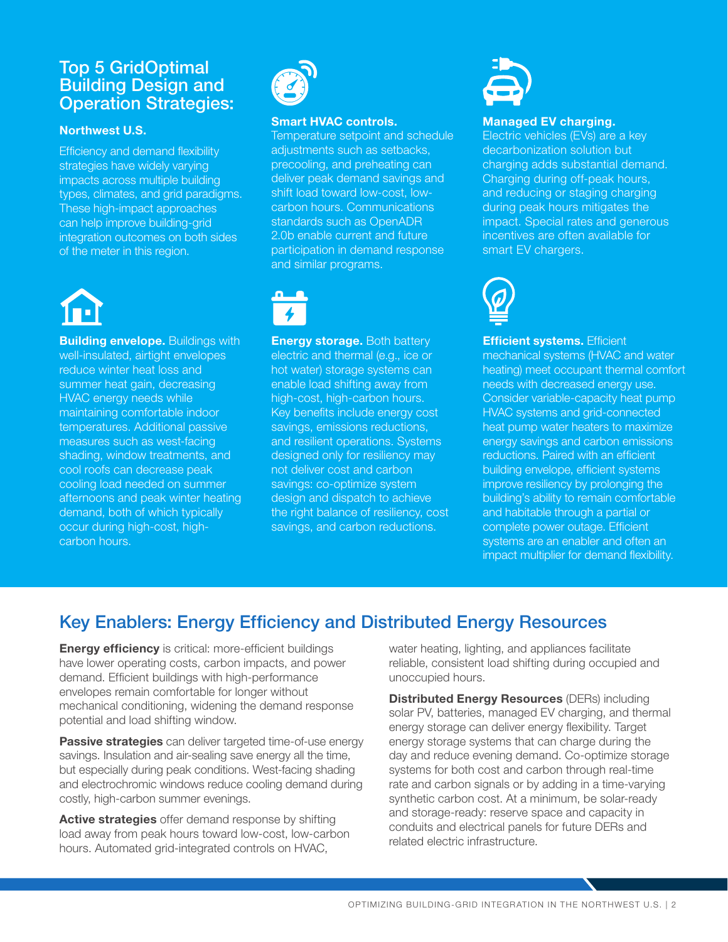## Top 5 GridOptimal **Building Design and** Operation Strategies:

#### **Northwest U.S.**

Efficiency and demand flexibility strategies have widely varying impacts across multiple building types, climates, and grid paradigms. These high-impact approaches can help improve building-grid integration outcomes on both sides of the meter in this region.



**Building envelope.** Buildings with well-insulated, airtight envelopes reduce winter heat loss and summer heat gain, decreasing HVAC energy needs while maintaining comfortable indoor temperatures. Additional passive measures such as west-facing shading, window treatments, and cool roofs can decrease peak cooling load needed on summer afternoons and peak winter heating demand, both of which typically occur during high-cost, highcarbon hours.



#### **Smart HVAC controls.**

Temperature setpoint and schedule adjustments such as setbacks, precooling, and preheating can deliver peak demand savings and shift load toward low-cost, lowcarbon hours. Communications standards such as OpenADR 2.0b enable current and future participation in demand response and similar programs.



**Energy storage.** Both battery electric and thermal (e.g., ice or hot water) storage systems can enable load shifting away from high-cost, high-carbon hours. Key benefits include energy cost savings, emissions reductions, and resilient operations. Systems designed only for resiliency may not deliver cost and carbon savings: co-optimize system design and dispatch to achieve the right balance of resiliency, cost savings, and carbon reductions.



#### **Managed EV charging.**

Electric vehicles (EVs) are a key decarbonization solution but charging adds substantial demand. Charging during off-peak hours, and reducing or staging charging during peak hours mitigates the impact. Special rates and generous incentives are often available for smart EV chargers.



**Efficient systems.** Efficient mechanical systems (HVAC and water heating) meet occupant thermal comfort needs with decreased energy use. Consider variable-capacity heat pump HVAC systems and grid-connected heat pump water heaters to maximize energy savings and carbon emissions reductions. Paired with an efficient building envelope, efficient systems improve resiliency by prolonging the building's ability to remain comfortable and habitable through a partial or complete power outage. Efficient systems are an enabler and often an impact multiplier for demand flexibility.

# Key Enablers: Energy Efficiency and Distributed Energy Resources

**Energy efficiency** is critical: more-efficient buildings have lower operating costs, carbon impacts, and power demand. Efficient buildings with high-performance envelopes remain comfortable for longer without mechanical conditioning, widening the demand response potential and load shifting window.

**Passive strategies** can deliver targeted time-of-use energy savings. Insulation and air-sealing save energy all the time, but especially during peak conditions. West-facing shading and electrochromic windows reduce cooling demand during costly, high-carbon summer evenings.

**Active strategies** offer demand response by shifting load away from peak hours toward low-cost, low-carbon hours. Automated grid-integrated controls on HVAC,

water heating, lighting, and appliances facilitate reliable, consistent load shifting during occupied and unoccupied hours.

**Distributed Energy Resources** (DERs) including solar PV, batteries, managed EV charging, and thermal energy storage can deliver energy flexibility. Target energy storage systems that can charge during the day and reduce evening demand. Co-optimize storage systems for both cost and carbon through real-time rate and carbon signals or by adding in a time-varying synthetic carbon cost. At a minimum, be solar-ready and storage-ready: reserve space and capacity in conduits and electrical panels for future DERs and related electric infrastructure.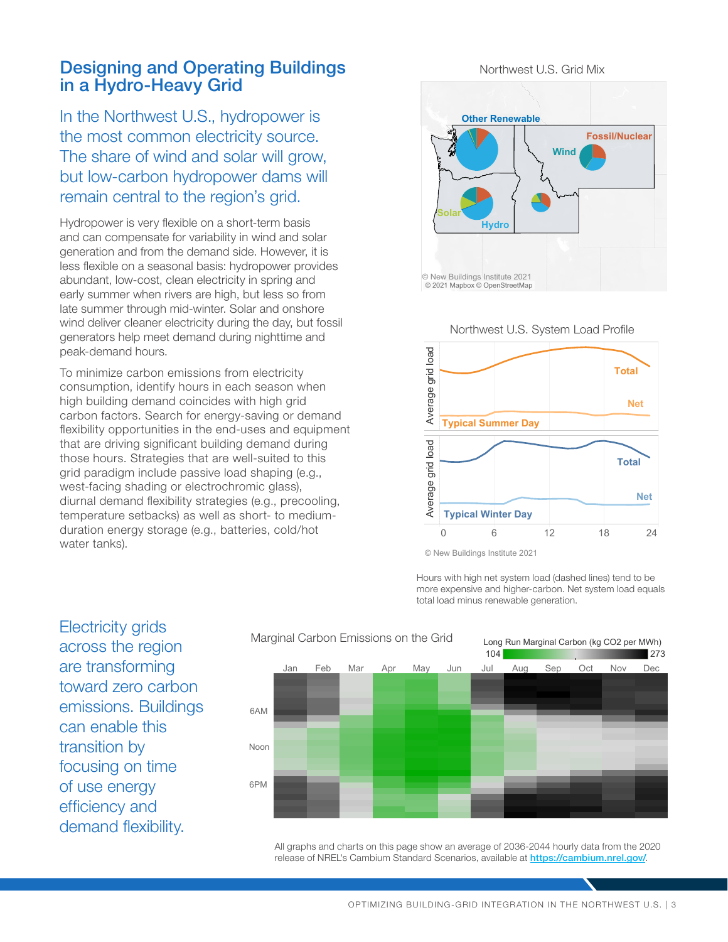### Designing and Operating Buildings in a Hydro-Heavy Grid

In the Northwest U.S., hydropower is the most common electricity source. The share of wind and solar will grow, but low-carbon hydropower dams will remain central to the region's grid.

Hydropower is very flexible on a short-term basis and can compensate for variability in wind and solar generation and from the demand side. However, it is less flexible on a seasonal basis: hydropower provides abundant, low-cost, clean electricity in spring and early summer when rivers are high, but less so from late summer through mid-winter. Solar and onshore wind deliver cleaner electricity during the day, but fossil generators help meet demand during nighttime and peak-demand hours.

To minimize carbon emissions from electricity consumption, identify hours in each season when high building demand coincides with high grid carbon factors. Search for energy-saving or demand flexibility opportunities in the end-uses and equipment that are driving significant building demand during those hours. Strategies that are well-suited to this grid paradigm include passive load shaping (e.g., west-facing shading or electrochromic glass), diurnal demand flexibility strategies (e.g., precooling, temperature setbacks) as well as short- to mediumduration energy storage (e.g., batteries, cold/hot water tanks).

Northwest U.S. Grid Mix



Northwest U.S. System Load Profile



© New Buildings Institute 2021

Hours with high net system load (dashed lines) tend to be more expensive and higher-carbon. Net system load equals total load minus renewable generation.

Electricity grids across the region are transforming toward zero carbon emissions. Buildings can enable this transition by focusing on time of use energy efficiency and demand flexibility.



All graphs and charts on this page show an average of 2036-2044 hourly data from the 2020 release of NREL's Cambium Standard Scenarios, available at <https://cambium.nrel.gov/>.